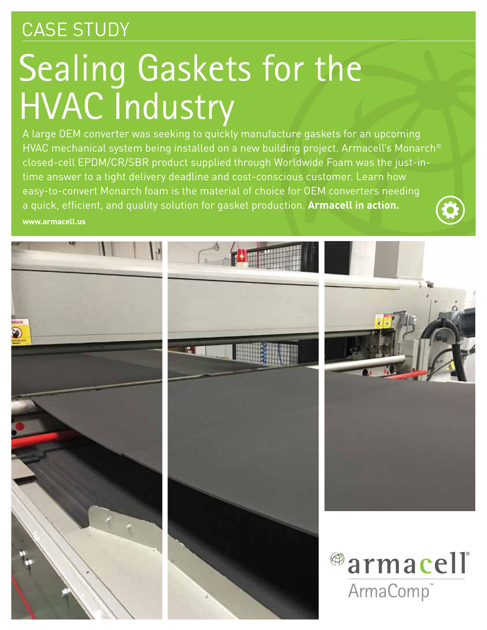## CASE STUDY

# Sealing Gaskets for the HVAC Industry

A large OEM converter was seeking to quickly manufacture gaskets for an upcoming HVAC mechanical system being installed on a new building project. Armacell's Monarch® closed-cell EPDM/CR/SBR product supplied through Worldwide Foam was the just-intime answer to a tight delivery deadline and cost-conscious customer. Learn how easy-to-convert Monarch foam is the material of choice for OEM converters needing a quick, efficient, and quality solution for gasket production. **Armacell in action. www.armacell.us**

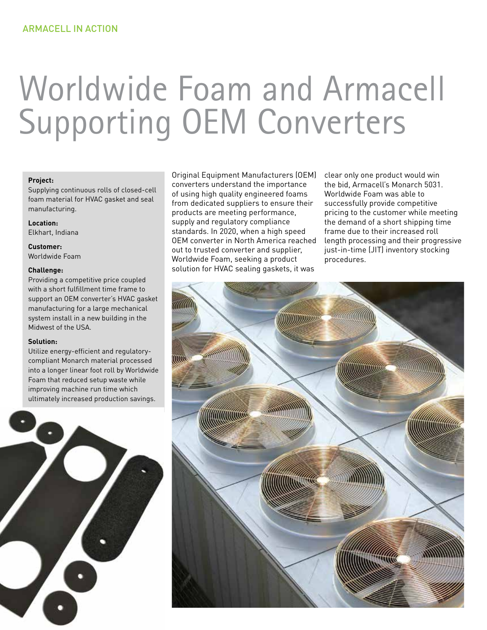# Worldwide Foam and Armacell Supporting OEM Converters

#### **Project:**

Supplying continuous rolls of closed-cell foam material for HVAC gasket and seal manufacturing.

**Location:** Elkhart, Indiana

**Customer:** Worldwide Foam

#### **Challenge:**

Providing a competitive price coupled with a short fulfillment time frame to support an OEM converter's HVAC gasket manufacturing for a large mechanical system install in a new building in the Midwest of the USA.

#### **Solution:**

Utilize energy-efficient and regulatorycompliant Monarch material processed into a longer linear foot roll by Worldwide Foam that reduced setup waste while improving machine run time which ultimately increased production savings.



Original Equipment Manufacturers (OEM) converters understand the importance of using high quality engineered foams from dedicated suppliers to ensure their products are meeting performance, supply and regulatory compliance standards. In 2020, when a high speed OEM converter in North America reached out to trusted converter and supplier, Worldwide Foam, seeking a product solution for HVAC sealing gaskets, it was

clear only one product would win the bid, Armacell's Monarch 5031. Worldwide Foam was able to successfully provide competitive pricing to the customer while meeting the demand of a short shipping time frame due to their increased roll length processing and their progressive just-in-time (JIT) inventory stocking procedures.

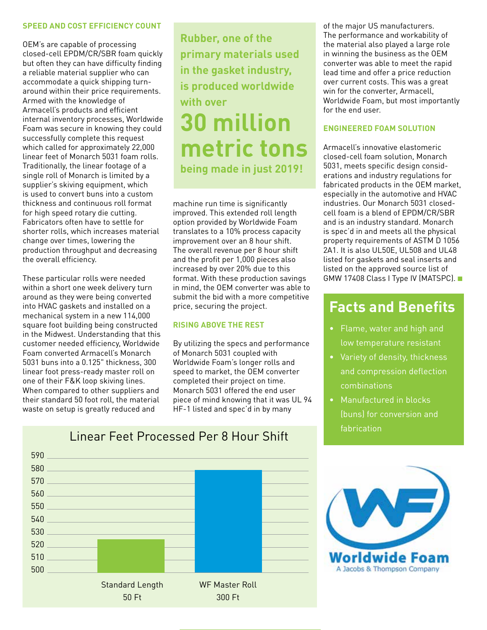#### **SPEED AND COST EFFICIENCY COUNT**

OEM's are capable of processing closed-cell EPDM/CR/SBR foam quickly but often they can have difficulty finding a reliable material supplier who can accommodate a quick shipping turnaround within their price requirements. Armed with the knowledge of Armacell's products and efficient internal inventory processes, Worldwide Foam was secure in knowing they could successfully complete this request which called for approximately 22,000 linear feet of Monarch 5031 foam rolls. Traditionally, the linear footage of a single roll of Monarch is limited by a supplier's skiving equipment, which is used to convert buns into a custom thickness and continuous roll format for high speed rotary die cutting. Fabricators often have to settle for shorter rolls, which increases material change over times, lowering the production throughput and decreasing the overall efficiency.

These particular rolls were needed within a short one week delivery turn around as they were being converted into HVAC gaskets and installed on a mechanical system in a new 114,000 square foot building being constructed in the Midwest. Understanding that this customer needed efficiency, Worldwide Foam converted Armacell's Monarch 5031 buns into a 0.125" thickness, 300 linear foot press-ready master roll on one of their F&K loop skiving lines. When compared to other suppliers and their standard 50 foot roll, the material waste on setup is greatly reduced and

**Rubber, one of the primary materials used in the gasket industry, is produced worldwide with over 30 million metric tons being made in just 2019!**

machine run time is significantly improved. This extended roll length option provided by Worldwide Foam translates to a 10% process capacity improvement over an 8 hour shift. The overall revenue per 8 hour shift and the profit per 1,000 pieces also increased by over 20% due to this format. With these production savings in mind, the OEM converter was able to submit the bid with a more competitive price, securing the project.

#### **RISING ABOVE THE REST**

By utilizing the specs and performance of Monarch 5031 coupled with Worldwide Foam's longer rolls and speed to market, the OEM converter completed their project on time. Monarch 5031 offered the end user piece of mind knowing that it was UL 94 HF-1 listed and spec'd in by many

of the major US manufacturers. The performance and workability of the material also played a large role in winning the business as the OEM converter was able to meet the rapid lead time and offer a price reduction over current costs. This was a great win for the converter, Armacell, Worldwide Foam, but most importantly for the end user.

#### **ENGINEERED FOAM SOLUTION**

Armacell's innovative elastomeric closed-cell foam solution, Monarch 5031, meets specific design considerations and industry regulations for fabricated products in the OEM market, especially in the automotive and HVAC industries. Our Monarch 5031 closedcell foam is a blend of EPDM/CR/SBR and is an industry standard. Monarch is spec'd in and meets all the physical property requirements of ASTM D 1056 2A1. It is also UL50E, UL508 and UL48 listed for gaskets and seal inserts and listed on the approved source list of GMW 17408 Class I Type IV (MATSPC).

### **Facts and Benefits**

- Flame, water and high and low temperature resistant
- Variety of density, thickness and compression deflection combinations
- Manufactured in blocks (buns) for conversion and fabrication





### Linear Feet Processed Per 8 Hour Shift